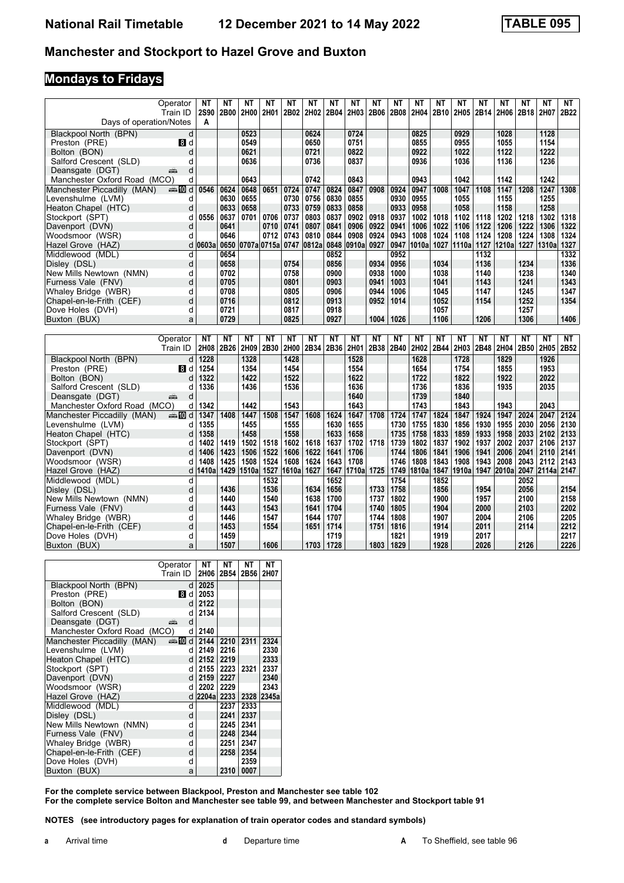#### **Manchester and Stockport to Hazel Grove and Buxton**

### **Mondays to Fridays**

|                                  | Operator    | NΤ        | NΤ           | NΤ          | ΝT        | NΤ    | NΤ        | <b>NT</b>    | NΤ    | ΝT        | NΤ           | <b>NT</b> | NΤ           | NΤ        | ΝT           | NΤ        | NΤ        | <b>NT</b>  | NT.          |
|----------------------------------|-------------|-----------|--------------|-------------|-----------|-------|-----------|--------------|-------|-----------|--------------|-----------|--------------|-----------|--------------|-----------|-----------|------------|--------------|
|                                  |             |           |              |             |           |       |           |              |       |           |              |           |              |           |              |           |           |            |              |
|                                  | Train ID    | 2S90      | 2B00         | 2H00        | 2H01      | 2B02  | 2H02      | 2B04         | 2H03  | 2B06      | 2B08         | 2H04      | 2B10         | 2H05      | 2B14         | 2H06      | 2B18      | 2H07       | 2B22         |
| Days of operation/Notes          |             | A         |              |             |           |       |           |              |       |           |              |           |              |           |              |           |           |            |              |
| Blackpool North (BPN)            | d           |           |              | 0523        |           |       | 0624      |              | 0724  |           |              | 0825      |              | 0929      |              | 1028      |           | 1128       |              |
| Preston (PRE)                    | 18 d        |           |              | 0549        |           |       | 0650      |              | 0751  |           |              | 0855      |              | 0955      |              | 1055      |           | 1154       |              |
| Bolton (BON)                     | d           |           |              | 0621        |           |       | 0721      |              | 0822  |           |              | 0922      |              | 1022      |              | 1122      |           | 1222       |              |
| Salford Crescent (SLD)           | d           |           |              | 0636        |           |       | 0736      |              | 0837  |           |              | 0936      |              | 1036      |              | 1136      |           | 1236       |              |
|                                  |             |           |              |             |           |       |           |              |       |           |              |           |              |           |              |           |           |            |              |
| Deansgate (DGT)                  | d<br>پېښتنه |           |              |             |           |       |           |              |       |           |              |           |              |           |              |           |           |            |              |
| Manchester Oxford Road (MCO)     | d           |           |              | 0643        |           |       | 0742      |              | 0843  |           |              | 0943      |              | 1042      |              | 1142      |           | 1242       |              |
| Manchester Piccadilly (MAN)      | ্⊯া0 d      | 0546      | 0624         | 0648        | 0651      | 0724  | 0747      | 0824         | 0847  | 0908      | 0924         | 0947      | 1008         | 1047      | 1108         | 1147      | 1208      | 1247       | 1308         |
| Levenshulme (LVM)                | d           |           | 0630         | 0655        |           | 0730  | 0756      | 0830         | 0855  |           | 0930         | 0955      |              | 1055      |              | 1155      |           | 1255       |              |
| Heaton Chapel (HTC)              | d           |           | 0633         | 0658        |           | 0733  | 0759      | 0833         | 0858  |           | 0933         | 0958      |              | 1058      |              | 1158      |           | 1258       |              |
| Stockport (SPT)                  | d           | 0556      | 0637         | 0701        | 0706      | 0737  | 0803      | 0837         | 0902  | 0918      | 0937         | 1002      | 1018         | 1102      | 1118         | 1202      | 1218      | 1302       | 1318         |
| Davenport (DVN)                  | d           |           | 0641         |             | 0710      | 0741  | 0807      | 0841         | 0906  | 0922      | 0941         | 1006      | 1022         | 1106      | 1122         | 1206      | 1222      | 1306       | 1322         |
| Woodsmoor (WSR)                  | d           |           | 0646         |             | 0712      | 0743  | 0810      | 0844         | 0908  | 0924      | 0943         | 1008      | 1024         | 1108      | 1124         | 1208      | 1224      | 1308       | 1324         |
|                                  |             |           |              |             |           |       |           |              |       |           |              |           |              |           |              |           |           |            |              |
| Hazel Grove (HAZ)                | d           | 0603a     | 0650         | 0707a 0715a |           | 0747  | 0812a     | 0848         | 0910a | 0927      | 0947         | 1010a     | 1027         | 1110a     | 1127         | 1210a     |           | 1227 1310a | 1327         |
| Middlewood (MDL)                 | d           |           | 0654         |             |           |       |           | 0852         |       |           | 0952         |           |              |           | 1132         |           |           |            | 1332         |
| Disley (DSL)                     | d           |           | 0658         |             |           | 0754  |           | 0856         |       | 0934      | 0956         |           | 1034         |           | 1136         |           | 1234      |            | 1336         |
| New Mills Newtown (NMN)          | d           |           | 0702         |             |           | 0758  |           | 0900         |       | 0938      | 1000         |           | 1038         |           | 1140         |           | 1238      |            | 1340         |
| Furness Vale (FNV)               | d           |           | 0705         |             |           | 0801  |           | 0903         |       | 0941      | 1003         |           | 1041         |           | 1143         |           | 1241      |            | 1343         |
| Whaley Bridge (WBR)              | d           |           | 0708         |             |           | 0805  |           | 0906         |       | 0944      | 1006         |           | 1045         |           | 1147         |           | 1245      |            | 1347         |
| Chapel-en-le-Frith (CEF)         | d           |           | 0716         |             |           | 0812  |           | 0913         |       | 0952      | 1014         |           | 1052         |           | 1154         |           | 1252      |            | 1354         |
| Dove Holes (DVH)                 | d           |           | 0721         |             |           | 0817  |           | 0918         |       |           |              |           | 1057         |           |              |           | 1257      |            |              |
|                                  |             |           | 0729         |             |           |       |           | 0927         |       | 1004      | 1026         |           | 1106         |           |              |           | 1306      |            | 1406         |
| Buxton (BUX)                     | a           |           |              |             |           | 0825  |           |              |       |           |              |           |              |           | 1206         |           |           |            |              |
|                                  |             |           |              |             |           |       |           |              |       |           |              |           |              |           |              |           |           |            |              |
|                                  |             |           |              |             |           |       |           |              |       |           |              |           |              |           |              |           |           |            |              |
|                                  | Operator    | <b>NT</b> | NT           | <b>NT</b>   | <b>NT</b> | NT    | <b>NT</b> | NT           | NT    | <b>NT</b> | NT           | <b>NT</b> | NT           | <b>NT</b> | <b>NT</b>    | <b>NT</b> | <b>NT</b> | <b>NT</b>  | <b>NT</b>    |
|                                  | Train ID    | 2H08      | 2B26         | 2H09        | 2B30      | 2H00  | 2B34      | 2B36         | 2H01  | 2B38      | 2B40         | 2H02      | 2B44         | 2H03      | 2B48         | 2H04      | 2B50      | 2H05       | 2B52         |
|                                  |             |           |              |             |           |       |           |              |       |           |              |           |              |           |              |           |           |            |              |
| Blackpool North (BPN)            | d           | 1228      |              | 1328        |           | 1428  |           |              | 1528  |           |              | 1628      |              | 1728      |              | 1829      |           | 1926       |              |
| Preston (PRE)                    | 8 d         | 1254      |              | 1354        |           | 1454  |           |              | 1554  |           |              | 1654      |              | 1754      |              | 1855      |           | 1953       |              |
| Bolton (BON)                     | d           | 1322      |              | 1422        |           | 1522  |           |              | 1622  |           |              | 1722      |              | 1822      |              | 1922      |           | 2022       |              |
| Salford Crescent (SLD)           | d           | 1336      |              | 1436        |           | 1536  |           |              | 1636  |           |              | 1736      |              | 1836      |              | 1935      |           | 2035       |              |
| Deansgate (DGT)                  | d<br>۳Ď     |           |              |             |           |       |           |              | 1640  |           |              | 1739      |              | 1840      |              |           |           |            |              |
| Manchester Oxford Road (MCO)     | d           | 1342      |              | 1442        |           | 1543  |           |              | 1643  |           |              | 1743      |              | 1843      |              | 1943      |           | 2043       |              |
| Manchester Piccadilly (MAN)      | anno di     | 1347      | 1408         | 1447        | 1508      | 1547  | 1608      | 1624         | 1647  | 1708      | 1724         | 1747      | 1824         | 1847      | 1924         | 1947      | 2024      | 2047       | 2124         |
| Levenshulme (LVM)                | d           | 1355      |              | 1455        |           | 1555  |           | 1630         | 1655  |           | 1730         | 1755      | 1830         | 1856      | 1930         | 1955      | 2030      | 2056       | 2130         |
|                                  |             |           |              |             |           |       |           |              |       |           |              |           |              |           |              |           |           |            |              |
| Heaton Chapel (HTC)              | d           | 1358      |              | 1458        |           | 1558  |           | 1633         | 1658  |           | 1735         | 1758      | 1833         | 1859      | 1933         | 1958      | 2033      | 2102       | 2133         |
| Stockport (SPT)                  | d           | 1402      | 1419         | 1502        | 1518      | 1602  | 1618      | 1637         | 1702  | 1718      | 1739         | 1802      | 1837         | 1902      | 1937         | 2002      | 2037      | 2106       | 2137         |
| Davenport (DVN)                  | d           | 1406      | 1423         | 1506        | 1522      | 1606  | 1622      | 1641         | 1706  |           | 1744         | 1806      | 1841         | 1906      | 1941         | 2006      | 2041      | 2110       | 2141         |
| Woodsmoor (WSR)                  | d           | 1408      | 1425         | 1508        | 1524      | 1608  | 1624      | 1643         | 1708  |           | 1746         | 1808      | 1843         | 1908      | 1943         | 2008      | 2043      | 2112       | 2143         |
| Hazel Grove (HAZ)                | d           | 1410a     | 1429         | 1510a       | 1527      | 1610a | 1627      | 1647         | 1710a | 1725      | 1749         | 1810a     | 1847         | 1910a     | 1947         | 2010a     | 2047      | 2114a      | 2147         |
| Middlewood (MDL)                 | d           |           |              |             | 1532      |       |           | 1652         |       |           | 1754         |           | 1852         |           |              |           | 2052      |            |              |
| Disley (DSL)                     | d           |           | 1436         |             | 1536      |       | 1634      | 1656         |       | 1733      | 1758         |           | 1856         |           | 1954         |           | 2056      |            | 2154         |
| New Mills Newtown (NMN)          | d           |           | 1440         |             | 1540      |       | 1638      | 1700         |       | 1737      | 1802         |           | 1900         |           | 1957         |           | 2100      |            | 2158         |
| Furness Vale (FNV)               | d           |           | 1443         |             | 1543      |       | 1641      | 1704         |       | 1740      | 1805         |           | 1904         |           | 2000         |           | 2103      |            | 2202         |
|                                  |             |           |              |             |           |       |           |              |       |           |              |           |              |           |              |           |           |            |              |
| Whaley Bridge (WBR)              | d           |           | 1446         |             | 1547      |       | 1644      | 1707         |       | 1744      | 1808         |           | 1907         |           | 2004         |           | 2106      |            | 2205         |
| Chapel-en-le-Frith (CEF)         | d           |           | 1453         |             | 1554      |       | 1651      | 1714         |       | 1751      | 1816         |           | 1914         |           | 2011         |           | 2114      |            | 2212         |
| Dove Holes (DVH)<br>Buxton (BUX) | d<br>a      |           | 1459<br>1507 |             | 1606      |       | 1703      | 1719<br>1728 |       | 1803      | 1821<br>1829 |           | 1919<br>1928 |           | 2017<br>2026 |           | 2126      |            | 2217<br>2226 |

|                              | Operator | NΤ         | NΤ   | NΤ   | NΤ    |
|------------------------------|----------|------------|------|------|-------|
|                              | Train ID | 2H06       | 2B54 | 2B56 | 2H07  |
| Blackpool North (BPN)        | d        | 2025       |      |      |       |
| Preston (PRE)                | 8 d      | 2053       |      |      |       |
| Bolton (BON)                 | d        | 2122       |      |      |       |
| Salford Crescent (SLD)       | d        | 2134       |      |      |       |
| Deansgate (DGT)              | d<br>æ   |            |      |      |       |
| Manchester Oxford Road (MCO) | d        | 2140       |      |      |       |
| Manchester Piccadilly (MAN)  | d≣ and   | 2144       | 2210 | 2311 | 2324  |
| Levenshulme (LVM)            | d        | 2149       | 2216 |      | 2330  |
| Heaton Chapel (HTC)          | d        | 2152       | 2219 |      | 2333  |
| Stockport (SPT)              | d        | 2155       | 2223 | 2321 | 2337  |
| Davenport (DVN)              | d        | 2159       | 2227 |      | 2340  |
| Woodsmoor (WSR)              | d        | 2202       | 2229 |      | 2343  |
| Hazel Grove (HAZ)            | d        | 2204a 2233 |      | 2328 | 2345a |
| Middlewood (MDL)             | d        |            | 2237 | 2333 |       |
| Dislev (DSL)                 | d        |            | 2241 | 2337 |       |
| New Mills Newtown (NMN)      | d        |            | 2245 | 2341 |       |
| Furness Vale (FNV)           | d        |            | 2248 | 2344 |       |
| Whaley Bridge (WBR)          | d        |            | 2251 | 2347 |       |
| Chapel-en-le-Frith (CEF)     | d        |            | 2258 | 2354 |       |
| Dove Holes (DVH)             | d        |            |      | 2359 |       |
| Buxton (BUX)                 | a        |            | 2310 | 0007 |       |

**For the complete service between Blackpool, Preston and Manchester see table 102** For the complete service Bolton and Manchester see table 99, and between Manchester and Stockport table 91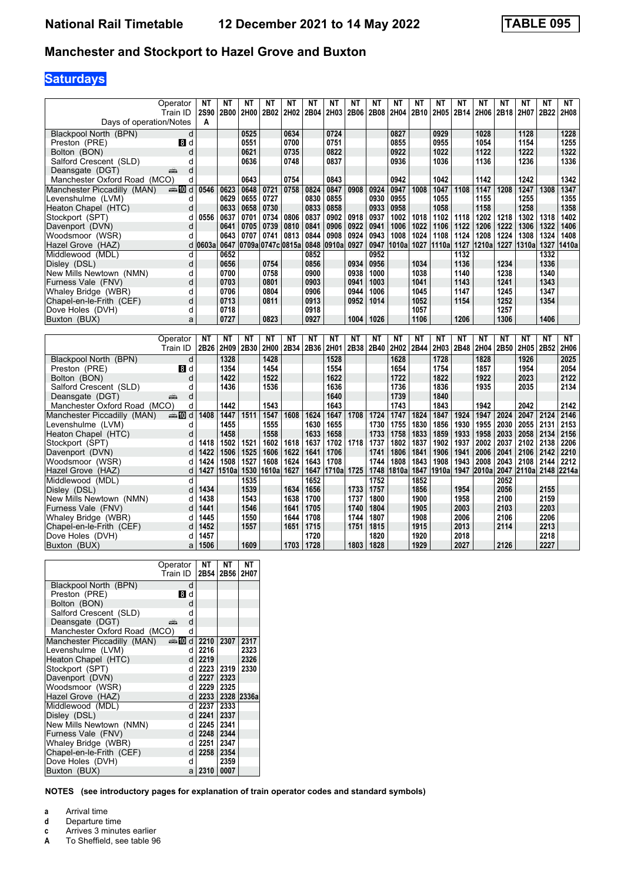#### **Manchester and Stockport to Hazel Grove and Buxton**

# **Saturdays**

| Operator                                              | NΤ           | NΤ           | NΤ           | <b>NT</b>         | <b>NT</b>    | <b>NT</b>    | NΤ           | <b>NT</b>    | <b>NT</b>    | NΤ           | <b>NT</b>    | NΤ           | NΤ           | NΤ           | ΝT           | <b>NT</b>             | <b>NT</b>    | <b>NT</b>    |
|-------------------------------------------------------|--------------|--------------|--------------|-------------------|--------------|--------------|--------------|--------------|--------------|--------------|--------------|--------------|--------------|--------------|--------------|-----------------------|--------------|--------------|
| Train ID                                              | <b>2S90</b>  | 2B00         | 2H00         | 2B02              | 2H02         | 2B04         | 2H03         | 2B06         | 2B08         | 2H04         | 2B10         | 2H05         | 2B14         | 2H06         | 2B18         | 2H07                  | 2B22         | 2H08         |
| Days of operation/Notes                               | A            |              |              |                   |              |              |              |              |              |              |              |              |              |              |              |                       |              |              |
| Blackpool North (BPN)<br>d                            |              |              | 0525         |                   | 0634         |              | 0724         |              |              | 0827         |              | 0929         |              | 1028         |              | 1128                  |              | 1228         |
| Preston (PRE)<br><b>8 d</b>                           |              |              | 0551         |                   | 0700         |              | 0751         |              |              | 0855         |              | 0955         |              | 1054         |              | 1154                  |              | 1255         |
| Bolton (BON)<br>d                                     |              |              | 0621         |                   | 0735         |              | 0822         |              |              | 0922         |              | 1022         |              | 1122         |              | 1222                  |              | 1322         |
| Salford Crescent (SLD)<br>d                           |              |              | 0636         |                   | 0748         |              | 0837         |              |              | 0936         |              | 1036         |              | 1136         |              | 1236                  |              | 1336         |
| Deansgate (DGT)<br>d<br>پته                           |              |              |              |                   |              |              |              |              |              |              |              |              |              |              |              |                       |              |              |
| Manchester Oxford Road (MCO)<br>d                     |              |              | 0643         |                   | 0754         |              | 0843         |              |              | 0942         |              | 1042         |              | 1142         |              | 1242                  |              | 1342         |
| Manchester Piccadilly (MAN)<br>্⊯া70 d                | 0546         | 0623         | 0648         | 0721              | 0758         | 0824         | 0847         | 0908         | 0924         | 0947         | 1008         | 1047         | 1108         | 1147         | 1208         | 1247                  | 1308         | 1347         |
| Levenshulme (LVM)<br>d                                |              | 0629         | 0655         | 0727              |              | 0830         | 0855         |              | 0930         | 0955         |              | 1055         |              | 1155         |              | 1255                  |              | 1355         |
| Heaton Chapel (HTC)<br>d                              |              | 0633         | 0658         | 0730              |              | 0833         | 0858         |              | 0933         | 0958         |              | 1058         |              | 1158         |              | 1258                  |              | 1358         |
| Stockport (SPT)<br>d                                  | 0556         | 0637         | 0701         | 0734              | 0806         | 0837         | 0902         | 0918         | 0937         | 1002         | 1018         | 1102         | 1118         | 1202         | 1218         | 1302                  | 1318         | 1402         |
| d<br>Davenport (DVN)                                  |              | 0641         | 0705         | 0739              | 0810         | 0841         | 0906         | 0922         | 0941         | 1006         | 1022         | 1106         | 1122         | 1206         | 1222         | 1306                  | 1322         | 1406         |
| Woodsmoor (WSR)<br>d                                  |              | 0643         | 0707         | 0741              | 0813         | 0844         | 0908         | 0924         | 0943         | 1008         | 1024         | 1108         | 1124         | 1208         | 1224         | 1308                  | 1324         | 1408         |
| Hazel Grove (HAZ)<br>d                                | 0603a        | 0647         |              | 0709a 0747c 0815a |              | 0848         | 0910a        | 0927         | 0947         | 1010al       | 1027         | 1110a        | 1127         | 1210a        | 1227         | 1310a                 | 1327         | 1410a        |
| Middlewood (MDL)<br>d                                 |              | 0652         |              |                   |              | 0852         |              |              | 0952         |              |              |              | 1132         |              |              |                       | 1332         |              |
| d<br>Disley (DSL)                                     |              | 0656         |              | 0754              |              | 0856         |              | 0934         | 0956         |              | 1034         |              | 1136         |              | 1234         |                       | 1336         |              |
| New Mills Newtown (NMN)<br>d                          |              | 0700         |              | 0758              |              | 0900         |              | 0938         | 1000         |              | 1038         |              | 1140         |              | 1238         |                       | 1340         |              |
| Furness Vale (FNV)<br>d                               |              | 0703         |              | 0801              |              | 0903         |              | 0941         | 1003         |              | 1041         |              | 1143         |              | 1241         |                       | 1343         |              |
| Whaley Bridge (WBR)<br>d                              |              | 0706         |              | 0804              |              | 0906         |              | 0944         | 1006         |              | 1045         |              | 1147         |              | 1245         |                       | 1347         |              |
| d<br>Chapel-en-le-Frith (CEF)                         |              | 0713         |              | 0811              |              | 0913         |              | 0952         | 1014         |              | 1052         |              | 1154         |              | 1252         |                       | 1354         |              |
| Dove Holes (DVH)<br>d                                 |              | 0718         |              |                   |              | 0918         |              |              |              |              | 1057         |              |              |              | 1257         |                       |              |              |
| Buxton (BUX)<br>a                                     |              | 0727         |              | 0823              |              | 0927         |              | 1004         | 1026         |              | 1106         |              | 1206         |              | 1306         |                       | 1406         |              |
|                                                       |              |              |              |                   |              |              |              |              |              |              |              |              |              |              |              |                       |              |              |
|                                                       |              |              |              |                   |              |              |              |              |              |              |              |              |              |              |              |                       |              |              |
| Operator                                              | <b>NT</b>    | NT           | <b>NT</b>    | <b>NT</b>         | <b>NT</b>    | <b>NT</b>    | <b>NT</b>    | <b>NT</b>    | NT           | <b>NT</b>    | NT           | <b>NT</b>    | <b>NT</b>    | <b>NT</b>    | <b>NT</b>    | <b>NT</b>             | NT           | NΤ           |
| Train ID                                              | 2B26         | 2H09         | 2B30         | 2H00              | 2B34         | 2B36         | 2H01         | 2B38         | 2B40         | 2H02         | 2B44         | 2H03         | 2B48         | 2H04         | 2B50         | 2H05                  | 2B52         | 2H06         |
| Blackpool North (BPN)<br>d                            |              | 1328         |              | 1428              |              |              | 1528         |              |              | 1628         |              | 1728         |              | 1828         |              | 1926                  |              | 2025         |
| Preston (PRE)<br>8 d                                  |              | 1354         |              | 1454              |              |              | 1554         |              |              | 1654         |              | 1754         |              | 1857         |              | 1954                  |              | 2054         |
| Bolton (BON)<br>d                                     |              | 1422         |              | 1522              |              |              | 1622         |              |              | 1722         |              |              |              | 1922         |              |                       |              |              |
| Salford Crescent (SLD)<br>d                           |              | 1436         |              | 1536              |              |              | 1636         |              |              | 1736         |              | 1822<br>1836 |              | 1935         |              | 2023<br>2035          |              | 2122<br>2134 |
| Deansgate (DGT)<br>d<br>هشه                           |              |              |              |                   |              |              | 1640         |              |              | 1739         |              | 1840         |              |              |              |                       |              |              |
| Manchester Oxford Road (MCO)<br>d                     |              | 1442         |              | 1543              |              |              | 1643         |              |              | 1743         |              | 1843         |              | 1942         |              | 2042                  |              | 2142         |
|                                                       | 1408         | 1447         | 1511         |                   |              |              |              |              |              |              |              |              |              | 1947         |              |                       |              | 2146         |
| Manchester Piccadilly (MAN)<br><b>ente</b> die d<br>d |              | 1455         |              | 1547              | 1608         | 1624<br>1630 | 1647         | 1708         | 1724         | 1747         | 1824         | 1847         | 1924         |              | 2024         | 2047                  | 2124         |              |
| Levenshulme (LVM)<br>d                                |              |              |              | 1555<br>1558      |              | 1633         | 1655<br>1658 |              | 1730         | 1755<br>1758 | 1830         | 1856         | 1930         | 1955         | 2030<br>2033 | 2055                  | 2131         | 2153         |
| Heaton Chapel (HTC)                                   | 1418         | 1458         |              |                   |              |              |              |              | 1733         |              | 1833         | 1859         | 1933         | 1958         |              | 2058 2134             |              | 2156         |
| Stockport (SPT)<br>d<br>d                             | 1422         | 1502<br>1506 | 1521<br>1525 | 1602<br>1606      | 1618<br>1622 | 1637<br>1641 | 1702<br>1706 | 1718         | 1737<br>1741 | 1802<br>1806 | 1837<br>1841 | 1902<br>1906 | 1937<br>1941 | 2002<br>2006 | 2037<br>2041 | 2102<br>2106 2142     | 2138         | 2206<br>2210 |
| Davenport (DVN)<br>d                                  | 1424         | 1508         | 1527         | 1608              | 1624         | 1643         | 1708         |              | 1744         | 1808         | 1843         | 1908         | 1943         | 2008         | 2043         | 2108                  | 2144         | 2212         |
| Woodsmoor (WSR)<br>d                                  |              | 1510a        |              |                   | 1627         |              |              |              | 1748         |              | 1847         | 1910al       |              |              |              |                       |              |              |
| Hazel Grove (HAZ)<br>d                                | 1427         |              | 1530<br>1535 | 1610a             |              | 1647<br>1652 | 1710a        | 1725         | 1752         | 1810a        | 1852         |              |              | 1947 2010a   | 2052         | 2047 2110a 2148 2214a |              |              |
| Middlewood (MDL)<br>d                                 | 1434         |              | 1539         |                   | 1634         | 1656         |              | 1733         | 1757         |              | 1856         |              | 1954         |              | 2056         |                       | 2155         |              |
| Disley (DSL)<br>d                                     |              |              |              |                   |              |              |              |              |              |              |              |              |              |              |              |                       |              |              |
| New Mills Newtown (NMN)<br>d                          | 1438<br>1441 |              | 1543<br>1546 |                   | 1638<br>1641 | 1700<br>1705 |              | 1737<br>1740 | 1800<br>1804 |              | 1900         |              | 1958         |              | 2100         |                       | 2159<br>2203 |              |
| Furness Vale (FNV)<br>d                               | 1445         |              |              |                   |              |              |              |              |              |              | 1905         |              | 2003         |              | 2103         |                       |              |              |
| Whaley Bridge (WBR)<br>d                              | 1452         |              | 1550         |                   | 1644<br>1651 | 1708         |              | 1744<br>1751 | 1807<br>1815 |              | 1908         |              | 2006         |              | 2106         |                       | 2206<br>2213 |              |
| Chapel-en-le-Frith (CEF)<br>Dove Holes (DVH)<br>d     | 1457         |              | 1557         |                   |              | 1715<br>1720 |              |              | 1820         |              | 1915<br>1920 |              | 2013<br>2018 |              | 2114         |                       | 2218         |              |

|                              | Operator | NT   | NΤ   | NΤ         |
|------------------------------|----------|------|------|------------|
|                              | Train ID | 2B54 | 2B56 | 2H07       |
| Blackpool North (BPN)        | d        |      |      |            |
| Preston (PRE)                | 8 d      |      |      |            |
| Bolton (BON)                 | d        |      |      |            |
| Salford Crescent (SLD)       | d        |      |      |            |
| Deansgate (DGT)              | d<br>æ   |      |      |            |
| Manchester Oxford Road (MCO) | d        |      |      |            |
| Manchester Piccadilly (MAN)  | d≣n man  | 2210 | 2307 | 2317       |
| Levenshulme (LVM)            | d        | 2216 |      | 2323       |
| Heaton Chapel (HTC)          | d        | 2219 |      | 2326       |
| Stockport (SPT)              | d        | 2223 | 2319 | 2330       |
| Davenport (DVN)              | dl       | 2227 | 2323 |            |
| Woodsmoor (WSR)              | d        | 2229 | 2325 |            |
| Hazel Grove (HAZ)            | d l      | 2233 |      | 2328 2336a |
| Middlewood (MDL)             | d        | 2237 | 2333 |            |
| Disley (DSL)                 | d.       | 2241 | 2337 |            |
| New Mills Newtown (NMN)      | d        | 2245 | 2341 |            |
| Furness Vale (FNV)           | d        | 2248 | 2344 |            |
| Whaley Bridge (WBR)          | d        | 2251 | 2347 |            |
| Chapel-en-le-Frith (CEF)     | d        | 2258 | 2354 |            |
| Dove Holes (DVH)             | d        |      | 2359 |            |
| Buxton (BUX)                 | a        | 2310 | 0007 |            |

- **a** Arrival time<br>**d** Departure t
- **d** Departure time
- **c** Arrives 3 minutes earlier<br>**A** To Sheffield, see table 96
- To Sheffield, see table 96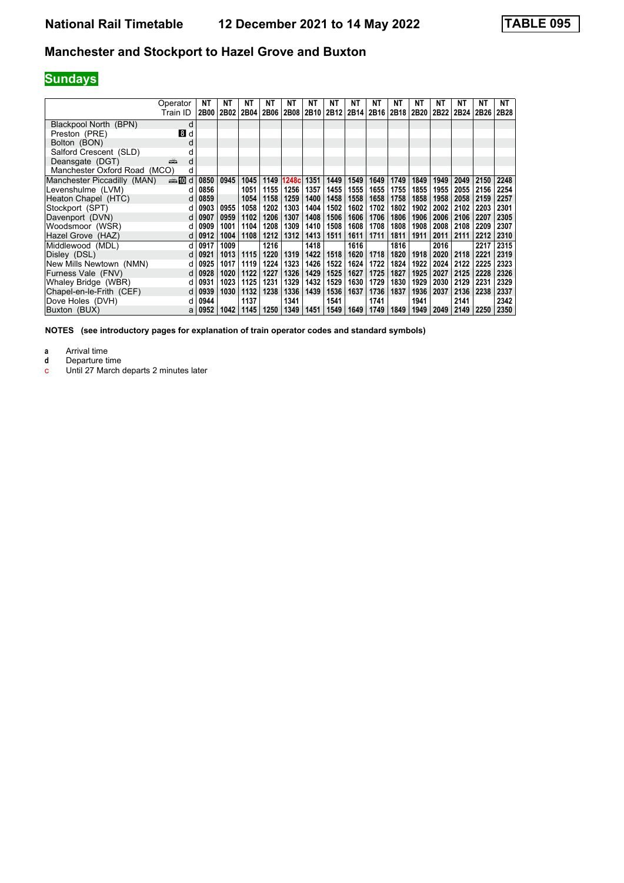## **Manchester and Stockport to Hazel Grove and Buxton**

# **Sundays**

|                              | Operator<br>Train ID | NΤ<br>2B00 | NΤ   | NΤ<br>2B02 2B04 | ΝT<br><b>2B06</b> | ΝT<br>2B08 | NΤ   | ΝT<br>2B10 2B12 | NΤ   | ΝT<br>2B14 2B16 | NΤ<br>2B18 | NΤ<br>  2B20 | ΝT<br>2B22 | NΤ   | NΤ<br>2B24 2B26 | NΤ<br>2B28 |
|------------------------------|----------------------|------------|------|-----------------|-------------------|------------|------|-----------------|------|-----------------|------------|--------------|------------|------|-----------------|------------|
| Blackpool North (BPN)        | d                    |            |      |                 |                   |            |      |                 |      |                 |            |              |            |      |                 |            |
| Preston (PRE)                | 8d                   |            |      |                 |                   |            |      |                 |      |                 |            |              |            |      |                 |            |
| Bolton (BON)                 |                      |            |      |                 |                   |            |      |                 |      |                 |            |              |            |      |                 |            |
| Salford Crescent (SLD)       |                      |            |      |                 |                   |            |      |                 |      |                 |            |              |            |      |                 |            |
| Deansgate (DGT)              | پېښتنه<br>d          |            |      |                 |                   |            |      |                 |      |                 |            |              |            |      |                 |            |
| Manchester Oxford Road (MCO) | d                    |            |      |                 |                   |            |      |                 |      |                 |            |              |            |      |                 |            |
| Manchester Piccadilly (MAN)  | d≣n man              | 0850       | 0945 | 1045            | 1149              | 1248c      | 1351 | 1449            | 1549 | 1649            | 1749       | 1849         | 1949       | 2049 | 2150            | 2248       |
| Levenshulme (LVM)            | d                    | 0856       |      | 1051            | 1155              | 1256       | 1357 | 1455            | 1555 | 1655            | 1755       | 1855         | 1955       | 2055 | 2156            | 2254       |
| Heaton Chapel (HTC)          | d                    | 0859       |      | 1054            | 1158              | 1259       | 1400 | 1458            | 1558 | 1658            | 1758       | 1858         | 1958       | 2058 | 2159            | 2257       |
| Stockport (SPT)              | d                    | 0903       | 0955 | 1058            | 1202              | 1303       | 1404 | 1502            | 1602 | 1702            | 1802       | 1902         | 2002       | 2102 | 2203            | 2301       |
| Davenport (DVN)              | d                    | 0907       | 0959 | 1102            | 1206              | 1307       | 1408 | 1506            | 1606 | 1706            | 1806       | 1906         | 2006       | 2106 | 2207            | 2305       |
| Woodsmoor (WSR)              | d                    | 0909       | 1001 | 1104            | 1208              | 1309       | 1410 | 1508            | 1608 | 1708            | 1808       | 1908         | 2008       | 2108 | 2209            | 2307       |
| Hazel Grove (HAZ)            | d                    | 0912       | 1004 | 1108            | 1212              | 1312       | 1413 | 1511            | 1611 | 1711            | 1811       | 1911         | 2011       | 2111 | 2212            | 2310       |
| Middlewood (MDL)             | <sub>d</sub>         | 0917       | 1009 |                 | 1216              |            | 1418 |                 | 1616 |                 | 1816       |              | 2016       |      | 2217            | 2315       |
| Disley (DSL)                 | d                    | 0921       | 1013 | 1115            | 1220              | 1319       | 1422 | 1518            | 1620 | 1718            | 1820       | 1918         | 2020       | 2118 | 2221            | 2319       |
| New Mills Newtown (NMN)      | d                    | 0925       | 1017 | 1119            | 1224              | 1323       | 1426 | 1522            | 1624 | 1722            | 1824       | 1922         | 2024       | 2122 | 2225            | 2323       |
| Furness Vale (FNV)           | d                    | 0928       | 1020 | 1122            | 1227              | 1326       | 1429 | 1525            | 1627 | 1725            | 1827       | 1925         | 2027       | 2125 | 2228            | 2326       |
| Whaley Bridge (WBR)          | d                    | 0931       | 1023 | 1125            | 1231              | 1329       | 1432 | 1529            | 1630 | 1729            | 1830       | 1929         | 2030       | 2129 | 2231            | 2329       |
| Chapel-en-le-Frith (CEF)     | d                    | 0939       | 1030 | 1132            | 1238              | 1336       | 1439 | 1536            | 1637 | 1736            | 1837       | 1936         | 2037       | 2136 | 2238            | 2337       |
| Dove Holes (DVH)             | d                    | 0944       |      | 1137            |                   | 1341       |      | 1541            |      | 1741            |            | 1941         |            | 2141 |                 | 2342       |
| Buxton (BUX)                 | a                    | 0952       | 1042 | 1145            | 1250              | 1349       | 1451 | 1549            | 1649 | 1749            | 1849       | 1949         | 2049       | 2149 | 2250            | 2350       |

**NOTES (see introductory pages for explanation of train operator codes and standard symbols)**

**a** Arrival time<br>**d** Departure time

**d** Departure time

c Until 27 March departs 2 minutes later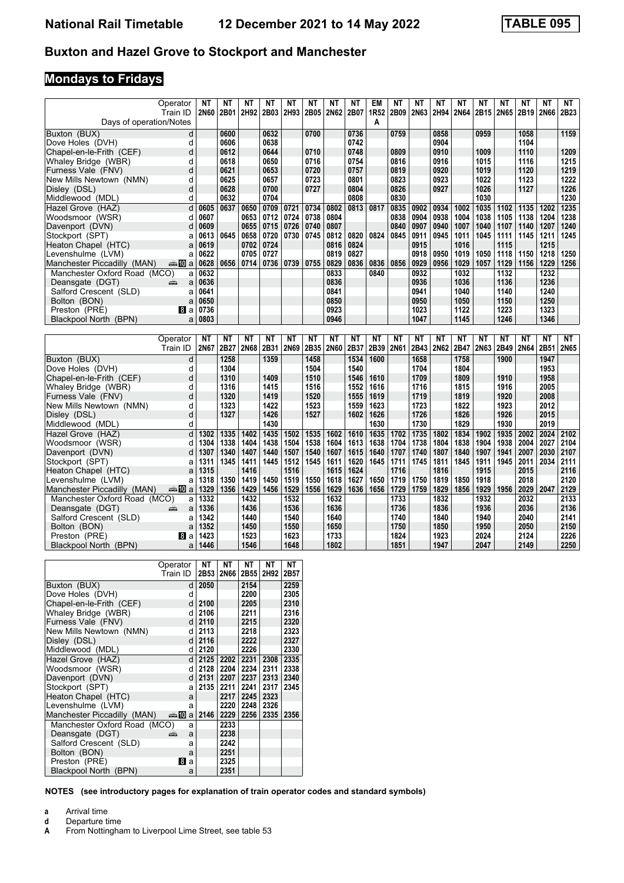#### **Buxton and Hazel Grove to Stockport and Manchester**

# **Mondays to Fridays**

|                                        | Operator   | <b>NT</b>    | <b>NT</b> | <b>NT</b>    | $N$ T | $N$ T        | $N$ T | $N$ T        | NT   | <b>EM</b> | $N$ T        | $N$ T | $N$ T        | N <sub>T</sub> | <b>NT</b>    | NT   | <b>NT</b>    | <b>NT</b> | <b>NT</b>    |
|----------------------------------------|------------|--------------|-----------|--------------|-------|--------------|-------|--------------|------|-----------|--------------|-------|--------------|----------------|--------------|------|--------------|-----------|--------------|
|                                        | Train ID   | 2N60         | 2B01      | 2H92         | 2B03  | 2H93         | 2B05  | 2N62         | 2B07 | 1R52      | 2B09         | 2N63  | 2H94         | 2N64           | 2B15         | 2N65 | 2B19         | 2N66      | 2B23         |
| Days of operation/Notes                |            |              |           |              |       |              |       |              |      | A         |              |       |              |                |              |      |              |           |              |
| Buxton (BUX)                           | d          |              | 0600      |              | 0632  |              | 0700  |              | 0736 |           | 0759         |       | 0858         |                | 0959         |      | 1058         |           | 1159         |
| Dove Holes (DVH)                       | d          |              | 0606      |              | 0638  |              |       |              | 0742 |           |              |       | 0904         |                |              |      | 1104         |           |              |
| Chapel-en-le-Frith (CEF)               | d          |              | 0612      |              | 0644  |              | 0710  |              | 0748 |           | 0809         |       | 0910         |                | 1009         |      | 1110         |           | 1209         |
| Whaley Bridge (WBR)                    | d          |              | 0618      |              | 0650  |              | 0716  |              | 0754 |           | 0816         |       | 0916         |                | 1015         |      | 1116         |           | 1215         |
| Furness Vale (FNV)                     | d          |              | 0621      |              | 0653  |              | 0720  |              | 0757 |           | 0819         |       | 0920         |                | 1019         |      | 1120         |           | 1219         |
| New Mills Newtown (NMN)                | d          |              | 0625      |              | 0657  |              | 0723  |              | 0801 |           | 0823         |       | 0923         |                | 1022         |      | 1123         |           | 1222         |
| Disley (DSL)                           | d          |              | 0628      |              | 0700  |              | 0727  |              | 0804 |           | 0826         |       | 0927         |                | 1026         |      | 1127         |           | 1226         |
| Middlewood (MDL)                       | d          |              | 0632      |              | 0704  |              |       |              | 0808 |           | 0830         |       |              |                | 1030         |      |              |           | 1230         |
| Hazel Grove (HAZ)                      | d          | 0605         | 0637      | 0650         | 0709  | 0721         | 0734  | 0802         | 0813 | 0817      | 0835         | 0902  | 0934         | 1002           | 1035         | 1102 | 1135         | 1202      | 1235         |
| Woodsmoor (WSR)                        | d          | 0607         |           | 0653         | 0712  | 0724         | 0738  | 0804         |      |           | 0838         | 0904  | 0938         | 1004           | 1038         | 1105 | 1138         | 1204      | 1238         |
| Davenport (DVN)                        | d          | 0609         |           | 0655         | 0715  | 0726         | 0740  | 0807         |      |           | 0840         | 0907  | 0940         | 1007           | 1040         | 1107 | 1140         | 1207      | 1240         |
| Stockport (SPT)                        | a          | 0613         | 0645      | 0658         | 0720  | 0730         | 0745  | 0812         | 0820 | 0824      | 0845         | 0911  | 0945         | 1011           | 1045         | 1111 | 1145         | 1211      | 1245         |
| Heaton Chapel (HTC)                    | a          | 0619         |           | 0702         | 0724  |              |       | 0816         | 0824 |           |              | 0915  |              | 1016           |              | 1115 |              | 1215      |              |
| Levenshulme (LVM)                      | a          | 0622         |           | 0705         | 0727  |              |       | 0819         | 0827 |           |              | 0918  | 0950         | 1019           | 1050         | 1118 | 1150         | 1218      | 1250         |
| Manchester Piccadilly (MAN)            | anni 100 a | 0628         | 0656      | 0714         | 0736  | 0739         | 0755  | 0829         | 0836 | 0836      | 0856         | 0929  | 0956         | 1029           | 1057         | 1129 | 1156         | 1229      | 1256         |
| Manchester Oxford Road (MCO)           | a          | 0632         |           |              |       |              |       | 0833         |      | 0840      |              | 0932  |              | 1032           |              | 1132 |              | 1232      |              |
| Deansgate (DGT)                        | еĤ<br>a    | 0636         |           |              |       |              |       | 0836         |      |           |              | 0936  |              | 1036           |              | 1136 |              | 1236      |              |
| Salford Crescent (SLD)                 | a          | 0641         |           |              |       |              |       | 0841         |      |           |              | 0941  |              | 1040           |              | 1140 |              | 1240      |              |
| Bolton (BON)                           | a          | 0650         |           |              |       |              |       | 0850         |      |           |              | 0950  |              | 1050           |              | 1150 |              | 1250      |              |
| Preston (PRE)                          | l8l a      | 0736         |           |              |       |              |       | 0923         |      |           |              | 1023  |              | 1122           |              | 1223 |              | 1323      |              |
| Blackpool North (BPN)                  | a          | 0803         |           |              |       |              |       | 0946         |      |           |              | 1047  |              | 1145           |              | 1246 |              | 1346      |              |
|                                        |            |              |           |              |       |              |       |              |      |           |              |       |              |                |              |      |              |           |              |
|                                        |            |              |           |              |       |              |       |              |      |           |              |       |              |                |              |      |              |           |              |
|                                        | Operator   | NΤ           | NΤ        | NΤ           | NΤ    | NΤ           | NΤ    | NΤ           | NΤ   | ΝT        | NΤ           | NΤ    | NΤ           | NΤ             | ΝT           | NΤ   | NT           | NΤ        | NT           |
|                                        | Train ID   | 2N67         | 2B27      | 2N68         | 2B31  | 2N69         | 2B35  | <b>2N60</b>  | 2B37 | 2B39      | 2N61         | 2B43  | 2N62         | 2B47           | 2N63         | 2B49 | 2N64         | 2B51      | 2N65         |
| Buxton (BUX)                           | d          |              | 1258      |              | 1359  |              | 1458  |              | 1534 | 1600      |              | 1658  |              | 1758           |              | 1900 |              | 1947      |              |
| Dove Holes (DVH)                       | d          |              | 1304      |              |       |              | 1504  |              | 1540 |           |              | 1704  |              | 1804           |              |      |              | 1953      |              |
| Chapel-en-le-Frith (CEF)               | d          |              | 1310      |              | 1409  |              | 1510  |              | 1546 | 1610      |              | 1709  |              | 1809           |              | 1910 |              | 1958      |              |
| Whaley Bridge (WBR)                    | d          |              | 1316      |              | 1415  |              | 1516  |              | 1552 | 1616      |              | 1716  |              | 1815           |              | 1916 |              | 2005      |              |
| Furness Vale (FNV)                     | d          |              | 1320      |              | 1419  |              | 1520  |              | 1555 | 1619      |              | 1719  |              | 1819           |              | 1920 |              | 2008      |              |
| New Mills Newtown (NMN)                | d          |              | 1323      |              | 1422  |              | 1523  |              | 1559 | 1623      |              | 1723  |              | 1822           |              | 1923 |              | 2012      |              |
| Disley (DSL)                           | d          |              | 1327      |              | 1426  |              | 1527  |              | 1602 | 1626      |              | 1726  |              | 1826           |              | 1926 |              | 2015      |              |
| Middlewood (MDL)                       | d          |              |           |              | 1430  |              |       |              |      | 1630      |              | 1730  |              | 1829           |              | 1930 |              | 2019      |              |
| Hazel Grove (HAZ)                      | d          | 1302         | 1335      | 1402         | 1435  | 1502         | 1535  | 1602         | 1610 | 1635      | 1702         | 1735  | 1802         | 1834           | 1902         | 1935 | 2002         | 2024      | 2102         |
| Woodsmoor (WSR)                        | d          | 1304         | 1338      | 1404         | 1438  | 1504         | 1538  | 1604         | 1613 | 1638      | 1704         | 1738  | 1804         | 1838           | 1904         | 1938 | 2004         | 2027      | 2104         |
| Davenport (DVN)                        | d          | 1307         | 1340      | 1407         | 1440  | 1507         | 1540  | 1607         | 1615 | 1640      | 1707         | 1740  | 1807         | 1840           | 1907         | 1941 | 2007         | 2030      | 2107         |
| Stockport (SPT)                        | a          | 1311         | 1345      | 1411         | 1445  | 1512         | 1545  | 1611         | 1620 | 1645      | 1711         | 1745  | 1811         | 1845           | 1911         | 1945 | 2011         | 2034      | 2111         |
| Heaton Chapel (HTC)                    | a          | 1315         |           | 1416         |       | 1516         |       | 1615         | 1624 |           | 1716         |       | 1816         |                | 1915         |      | 2015         |           | 2116         |
| Levenshulme (LVM)                      | a          | 1318         | 1350      | 1419         | 1450  | 1519         | 1550  | 1618         | 1627 | 1650      | 1719         | 1750  | 1819         | 1850           | 1918         |      | 2018         |           | 2120         |
| Manchester Piccadilly (MAN)            | anni 10l a | 1329         | 1356      | 1429         | 1456  | 1529         | 1556  | 1629         | 1636 | 1656      | 1729         | 1759  | 1829         | 1856           | 1929         | 1956 | 2029         | 2047      | 2129         |
| Manchester Oxford Road (MCO)           | a          | 1332         |           | 1432         |       | 1532         |       | 1632         |      |           | 1733         |       | 1832         |                | 1932         |      | 2032         |           | 2133         |
| Deansgate (DGT)                        | a<br>еĤ    | 1336         |           | 1436         |       | 1536         |       | 1636         |      |           | 1736         |       | 1836         |                | 1936         |      | 2036         |           | 2136         |
| Salford Crescent (SLD)                 | a          | 1342         |           | 1440         |       | 1540         |       | 1640         |      |           | 1740         |       | 1840         |                | 1940         |      | 2040         |           | 2141         |
| Bolton (BON)                           | a          | 1352         |           | 1450         |       | 1550         |       | 1650         |      |           | 1750         |       | 1850         |                | 1950         |      | 2050         |           | 2150         |
| Preston (PRE)<br>Blackpool North (BPN) | 图 a<br>a   | 1423<br>1446 |           | 1523<br>1546 |       | 1623<br>1648 |       | 1733<br>1802 |      |           | 1824<br>1851 |       | 1923<br>1947 |                | 2024<br>2047 |      | 2124<br>2149 |           | 2226<br>2250 |

|                              | Operator | NΤ   | NΤ          | NΤ   | NΤ   | NΤ   |
|------------------------------|----------|------|-------------|------|------|------|
|                              | Train ID | 2B53 | <b>2N66</b> | 2B55 | 2H92 | 2B57 |
| Buxton (BUX)                 | d        | 2050 |             | 2154 |      | 2259 |
| Dove Holes (DVH)             | d        |      |             | 2200 |      | 2305 |
| Chapel-en-le-Frith (CEF)     | d        | 2100 |             | 2205 |      | 2310 |
| Whaley Bridge (WBR)          | d        | 2106 |             | 2211 |      | 2316 |
| Furness Vale (FNV)           | d        | 2110 |             | 2215 |      | 2320 |
| New Mills Newtown (NMN)      | d        | 2113 |             | 2218 |      | 2323 |
| Disley (DSL)                 | d        | 2116 |             | 2222 |      | 2327 |
| Middlewood (MDL)             | d        | 2120 |             | 2226 |      | 2330 |
| Hazel Grove (HAZ)            | d        | 2125 | 2202        | 2231 | 2308 | 2335 |
| Woodsmoor (WSR)              | d        | 2128 | 2204        | 2234 | 2311 | 2338 |
| Davenport (DVN)              | d        | 2131 | 2207        | 2237 | 2313 | 2340 |
| Stockport (SPT)              | a        | 2135 | 2211        | 2241 | 2317 | 2345 |
| Heaton Chapel (HTC)          | a        |      | 2217        | 2245 | 2323 |      |
| Levenshulme (LVM)            | a        |      | 2220        | 2248 | 2326 |      |
| Manchester Piccadilly (MAN)  | a‱Ma     | 2146 | 2229        | 2256 | 2335 | 2356 |
| Manchester Oxford Road (MCO) | a        |      | 2233        |      |      |      |
| Deansgate (DGT)              | æ<br>a   |      | 2238        |      |      |      |
| Salford Crescent (SLD)       | a        |      | 2242        |      |      |      |
| Bolton (BON)                 | a        |      | 2251        |      |      |      |
| Preston (PRE)                | Bla      |      | 2325        |      |      |      |
| Blackpool North (BPN)        | a        |      | 2351        |      |      |      |

- **a** Arrival time<br>**d** Departure t
- 
- **d** Departure time<br>**A** From Nottingha From Nottingham to Liverpool Lime Street, see table 53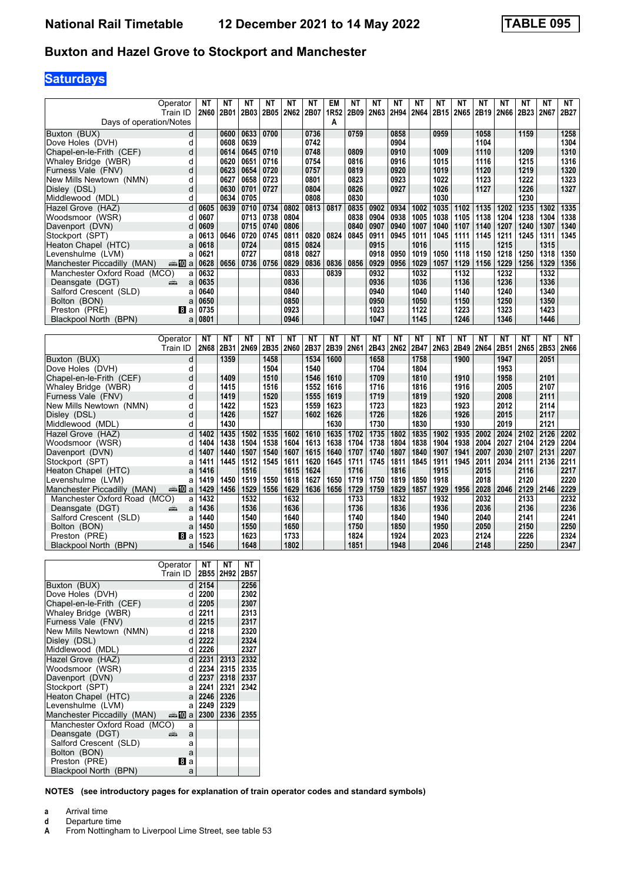#### **Buxton and Hazel Grove to Stockport and Manchester**

### **Saturdays**

|                              | Operator<br>Train ID | NΤ<br>2N60 | NΤ<br>2B01 | NΤ<br>2B03 | ΝT<br>2B05 | <b>NT</b><br>2N62 | NΤ<br>2B07 | EM<br>1R52 | <b>NT</b><br>2B09 | <b>NT</b><br>2N63 | NT<br>2H94 | ΝT<br>2N64 | NΤ<br>2B15 | ΝT<br><b>2N65</b> | ΝT<br>2B19 | ΝT<br>2N66 | <b>NT</b><br>2B <sub>23</sub> | <b>NT</b><br>2N67 | <b>NT</b><br>2B27 |
|------------------------------|----------------------|------------|------------|------------|------------|-------------------|------------|------------|-------------------|-------------------|------------|------------|------------|-------------------|------------|------------|-------------------------------|-------------------|-------------------|
| Days of operation/Notes      |                      |            |            |            |            |                   |            | A          |                   |                   |            |            |            |                   |            |            |                               |                   |                   |
| Buxton (BUX)                 | d                    |            | 0600       | 0633       | 0700       |                   | 0736       |            | 0759              |                   | 0858       |            | 0959       |                   | 1058       |            | 1159                          |                   | 1258              |
| Dove Holes (DVH)             | d                    |            | 0608       | 0639       |            |                   | 0742       |            |                   |                   | 0904       |            |            |                   | 1104       |            |                               |                   | 1304              |
| Chapel-en-le-Frith (CEF)     | d                    |            | 0614       | 0645       | 0710       |                   | 0748       |            | 0809              |                   | 0910       |            | 1009       |                   | 1110       |            | 1209                          |                   | 1310              |
| Whaley Bridge (WBR)          | d                    |            | 0620       | 0651       | 0716       |                   | 0754       |            | 0816              |                   | 0916       |            | 1015       |                   | 1116       |            | 1215                          |                   | 1316              |
| Furness Vale (FNV)           | d                    |            | 0623       | 0654       | 0720       |                   | 0757       |            | 0819              |                   | 0920       |            | 1019       |                   | 1120       |            | 1219                          |                   | 1320              |
| New Mills Newtown (NMN)      | d                    |            | 0627       | 0658       | 0723       |                   | 0801       |            | 0823              |                   | 0923       |            | 1022       |                   | 1123       |            | 1222                          |                   | 1323              |
| Disley (DSL)                 | d                    |            | 0630       | 0701       | 0727       |                   | 0804       |            | 0826              |                   | 0927       |            | 1026       |                   | 1127       |            | 1226                          |                   | 1327              |
| Middlewood (MDL)             | d                    |            | 0634       | 0705       |            |                   | 0808       |            | 0830              |                   |            |            | 1030       |                   |            |            | 1230                          |                   |                   |
| Hazel Grove (HAZ)            | d                    | 0605       | 0639       | 0710       | 0734       | 0802              | 0813       | 0817       | 0835              | 0902              | 0934       | 1002       | 1035       | 1102              | 1135       | 1202       | 1235                          | 1302              | 1335              |
| Woodsmoor (WSR)              | d                    | 0607       |            | 0713       | 0738       | 0804              |            |            | 0838              | 0904              | 0938       | 1005       | 1038       | 1105              | 1138       | 1204       | 1238                          | 1304              | 1338              |
| Davenport (DVN)              | d                    | 0609       |            | 0715       | 0740       | 0806              |            |            | 0840              | 0907              | 0940       | 1007       | 1040       | 1107              | 1140       | 1207       | 1240                          | 1307              | 1340              |
| Stockport (SPT)              | a                    | 0613       | 0646       | 0720       | 0745       | 0811              | 0820       | 0824       | 0845              | 0911              | 0945       | 1011       | 1045       | 1111              | 1145       | 1211       | 1245                          | 1311              | 1345              |
| Heaton Chapel (HTC)          | a                    | 0618       |            | 0724       |            | 0815              | 0824       |            |                   | 0915              |            | 1016       |            | 1115              |            | 1215       |                               | 1315              |                   |
| Levenshulme (LVM)            | a                    | 0621       |            | 0727       |            | 0818              | 0827       |            |                   | 0918              | 0950       | 1019       | 1050       | 1118              | 1150       | 1218       | 1250                          | 1318              | 1350              |
| Manchester Piccadilly (MAN)  | en≣∎l0la             | 0628       | 0656       | 0736       | 0756       | 0829              | 0836       | 0836       | 0856              | 0929              | 0956       | 1029       | 1057       | 1129              | 1156       | 1229       | 1256                          | 1329              | 1356              |
| Manchester Oxford Road (MCO) | a                    | 0632       |            |            |            | 0833              |            | 0839       |                   | 0932              |            | 1032       |            | 1132              |            | 1232       |                               | 1332              |                   |
| Deansgate (DGT)              | a<br>щŷ              | 0635       |            |            |            | 0836              |            |            |                   | 0936              |            | 1036       |            | 1136              |            | 1236       |                               | 1336              |                   |
| Salford Crescent (SLD)       | a                    | 0640       |            |            |            | 0840              |            |            |                   | 0940              |            | 1040       |            | 1140              |            | 1240       |                               | 1340              |                   |
| Bolton (BON)                 | a                    | 0650       |            |            |            | 0850              |            |            |                   | 0950              |            | 1050       |            | 1150              |            | 1250       |                               | 1350              |                   |
| Preston (PRE)                | l8l a                | 0735       |            |            |            | 0923              |            |            |                   | 1023              |            | 1122       |            | 1223              |            | 1323       |                               | 1423              |                   |
| Blackpool North (BPN)        | a                    | 0801       |            |            |            | 0946              |            |            |                   | 1047              |            | 1145       |            | 1246              |            | 1346       |                               | 1446              |                   |
|                              |                      |            |            |            |            |                   |            |            |                   |                   |            |            |            |                   |            |            |                               |                   |                   |
|                              |                      |            |            |            |            |                   |            |            |                   |                   |            |            |            |                   |            |            |                               |                   |                   |
|                              | Operator             | NΤ         | <b>NT</b>  | <b>NT</b>  | ΝT         | <b>NT</b>         | <b>NT</b>  | <b>NT</b>  | <b>NT</b>         | <b>NT</b>         | <b>NT</b>  | NΤ         | NΤ         | NΤ                | ΝT         | NΤ         | <b>NT</b>                     | <b>NT</b>         | NT                |
|                              | Train ID             | 2N68       | 2B31       | 2N69       | 2B35       | 2N60              | 2B37       | 2B39       | 2N61              | 2B43              | 2N62       | 2B47       | 2N63       | 2B49              | 2N64       | 2B51       | 2N65                          | 2B53              | 2N66              |
| Buxton (BUX)                 | d                    |            | 1359       |            | 1458       |                   | 1534       | 1600       |                   | 1658              |            | 1758       |            | 1900              |            | 1947       |                               | 2051              |                   |
| Dove Holes (DVH)             | d                    |            |            |            | 1504       |                   | 1540       |            |                   | 1704              |            | 1804       |            |                   |            | 1953       |                               |                   |                   |
| Chapel-en-le-Frith (CEF)     | d                    |            | 1409       |            | 1510       |                   | 1546       | 1610       |                   | 1709              |            | 1810       |            | 1910              |            | 1958       |                               | 2101              |                   |
| Whaley Bridge (WBR)          | d                    |            | 1415       |            | 1516       |                   | 1552       | 1616       |                   | 1716              |            | 1816       |            | 1916              |            | 2005       |                               | 2107              |                   |
| Furness Vale (FNV)           | d                    |            | 1419       |            | 1520       |                   | 1555       | 1619       |                   | 1719              |            | 1819       |            | 1920              |            | 2008       |                               | 2111              |                   |
| New Mills Newtown (NMN)      | d                    |            | 1422       |            | 1523       |                   | 1559       | 1623       |                   | 1723              |            | 1823       |            | 1923              |            | 2012       |                               | 2114              |                   |
| Disley (DSL)                 | d                    |            | 1426       |            | 1527       |                   | 1602       | 1626       |                   | 1726              |            | 1826       |            | 1926              |            | 2015       |                               | 2117              |                   |
| Middlewood (MDL)             | d                    |            | 1430       |            |            |                   |            | 1630       |                   | 1730              |            | 1830       |            | 1930              |            | 2019       |                               | 2121              |                   |
| Hazel Grove (HAZ)            | d                    | 1402       | 1435       | 1502       | 1535       | 1602              | 1610       | 1635       | 1702              | 1735              | 1802       | 1835       | 1902       | 1935              | 2002       | 2024       | 2102                          | 2126              | 2202              |
| Woodsmoor (WSR)              | d                    | 1404       | 1438       | 1504       | 1538       | 1604              | 1613       | 1638       | 1704              | 1738              | 1804       | 1838       | 1904       | 1938              | 2004       | 2027       | 2104                          | 2129              | 2204              |
| Davenport (DVN)              | d                    | 1407       | 1440       | 1507       | 1540       | 1607              | 1615       | 1640       | 1707              | 1740              | 1807       | 1840       | 1907       | 1941              | 2007       | 2030       | 2107                          | 2131              | 2207              |
| Stockport (SPT)              | a                    | 1411       | 1445       | 1512       | 1545       | 1611              | 1620       | 1645       | 1711              | 1745              | 1811       | 1845       | 1911       | 1945              | 2011       | 2034       | 2111                          | 2136              | 2211              |
| Heaton Chapel (HTC)          | a                    | 1416       |            | 1516       |            | 1615              | 1624       |            | 1716              |                   | 1816       |            | 1915       |                   | 2015       |            | 2116                          |                   | 2217              |
| Levenshulme (LVM)            | a                    | 1419       | 1450       | 1519       | 1550       | 1618              | 1627       | 1650       | 1719              | 1750              | 1819       | 1850       | 1918       |                   | 2018       |            | 2120                          |                   | 2220              |
| Manchester Piccadilly (MAN)  | a‱Ma                 | 1429       | 1456       | 1529       | 1556       | 1629              | 1636       | 1656       | 1729              | 1759              | 1829       | 1857       | 1929       | 1956              | 2028       | 2046       | 2129                          | 2146              | 2229              |
| Manchester Oxford Road (MCO) | a                    | 1432       |            | 1532       |            | 1632              |            |            | 1733              |                   | 1832       |            | 1932       |                   | 2032       |            | 2133                          |                   | 2232              |
| Deansgate (DGT)              | a<br>۵Ë              | 1436       |            | 1536       |            | 1636              |            |            | 1736              |                   | 1836       |            | 1936       |                   | 2036       |            | 2136                          |                   | 2236              |
| Salford Crescent (SLD)       | a                    | 1440       |            | 1540       |            | 1640              |            |            | 1740              |                   | 1840       |            | 1940       |                   | 2040       |            | 2141                          |                   | 2241              |
| Bolton (BON)                 | a                    | 1450       |            | 1550       |            | 1650              |            |            | 1750              |                   | 1850       |            | 1950       |                   | 2050       |            | 2150                          |                   | 2250              |
| Preston (PRE)                | BI a                 | 1523       |            | 1623       |            | 1733              |            |            | 1824              |                   | 1924       |            | 2023       |                   | 2124       |            | 2226                          |                   | 2324              |

|                              | Operator         | NΤ   | NΤ   | <b>NT</b> |
|------------------------------|------------------|------|------|-----------|
|                              | Train ID         | 2B55 | 2H92 | 2B57      |
| Buxton (BUX)                 | d                | 2154 |      | 2256      |
| Dove Holes (DVH)             | d                | 2200 |      | 2302      |
| Chapel-en-le-Frith (CEF)     | d                | 2205 |      | 2307      |
| Whaley Bridge (WBR)          | d                | 2211 |      | 2313      |
| Furness Vale (FNV)           | d                | 2215 |      | 2317      |
| New Mills Newtown (NMN)      | d                | 2218 |      | 2320      |
| Disley (DSL)                 | d                | 2222 |      | 2324      |
| Middlewood (MDL)             | d                | 2226 |      | 2327      |
| Hazel Grove (HAZ)            | d l              | 2231 | 2313 | 2332      |
| Woodsmoor (WSR)              | d                | 2234 | 2315 | 2335      |
| Davenport (DVN)              | d                | 2237 | 2318 | 2337      |
| Stockport (SPT)              | al               | 2241 | 2321 | 2342      |
| Heaton Chapel (HTC)          | al               | 2246 | 2326 |           |
| Levenshulme (LVM)            | al               | 2249 | 2329 |           |
| Manchester Piccadilly (MAN)  | $\oplus$ 10<br>a | 2300 | 2336 | 2355      |
| Manchester Oxford Road (MCO) | a                |      |      |           |
| Deansgate (DGT)              | æ<br>a           |      |      |           |
| Salford Crescent (SLD)       | a                |      |      |           |
| Bolton (BON)                 | a                |      |      |           |
| Preston (PRE)                | <b>8</b><br>a    |      |      |           |
| Blackpool North (BPN)        | a                |      |      |           |

- 
- **a** Arrival time<br>**d** Departure t
- **d** Departure time<br>**A** From Nottingha From Nottingham to Liverpool Lime Street, see table 53